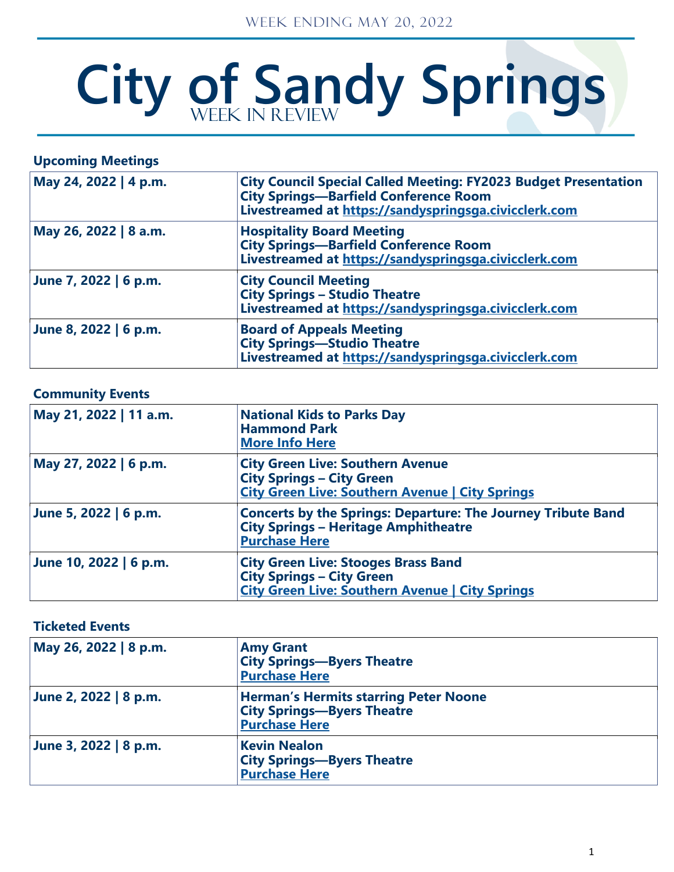# City of Sandy Springs

# **Upcoming Meetings**

| May 24, 2022   4 p.m. | <b>City Council Special Called Meeting: FY2023 Budget Presentation</b><br><b>City Springs-Barfield Conference Room</b><br>Livestreamed at https://sandyspringsga.civicclerk.com |
|-----------------------|---------------------------------------------------------------------------------------------------------------------------------------------------------------------------------|
| May 26, 2022   8 a.m. | <b>Hospitality Board Meeting</b><br><b>City Springs-Barfield Conference Room</b><br>Livestreamed at https://sandyspringsga.civicclerk.com                                       |
| June 7, 2022   6 p.m. | <b>City Council Meeting</b><br><b>City Springs - Studio Theatre</b><br>Livestreamed at https://sandyspringsga.civicclerk.com                                                    |
| June 8, 2022   6 p.m. | <b>Board of Appeals Meeting</b><br><b>City Springs-Studio Theatre</b><br>Livestreamed at https://sandyspringsga.civicclerk.com                                                  |

# **Community Events**

| May 21, 2022   11 a.m. | <b>National Kids to Parks Day</b><br><b>Hammond Park</b><br><b>More Info Here</b>                                                          |
|------------------------|--------------------------------------------------------------------------------------------------------------------------------------------|
| May 27, 2022   6 p.m.  | <b>City Green Live: Southern Avenue</b><br><b>City Springs - City Green</b><br><b>City Green Live: Southern Avenue   City Springs</b>      |
| June 5, 2022   6 p.m.  | <b>Concerts by the Springs: Departure: The Journey Tribute Band</b><br><b>City Springs - Heritage Amphitheatre</b><br><b>Purchase Here</b> |
| June 10, 2022   6 p.m. | <b>City Green Live: Stooges Brass Band</b><br><b>City Springs – City Green</b><br><b>City Green Live: Southern Avenue   City Springs</b>   |

## **Ticketed Events**

| May 26, 2022   8 p.m. | <b>Amy Grant</b><br><b>City Springs-Byers Theatre</b><br><b>Purchase Here</b>                             |  |
|-----------------------|-----------------------------------------------------------------------------------------------------------|--|
| June 2, 2022   8 p.m. | <b>Herman's Hermits starring Peter Noone</b><br><b>City Springs-Byers Theatre</b><br><b>Purchase Here</b> |  |
| June 3, 2022   8 p.m. | <b>Kevin Nealon</b><br><b>City Springs-Byers Theatre</b><br><b>Purchase Here</b>                          |  |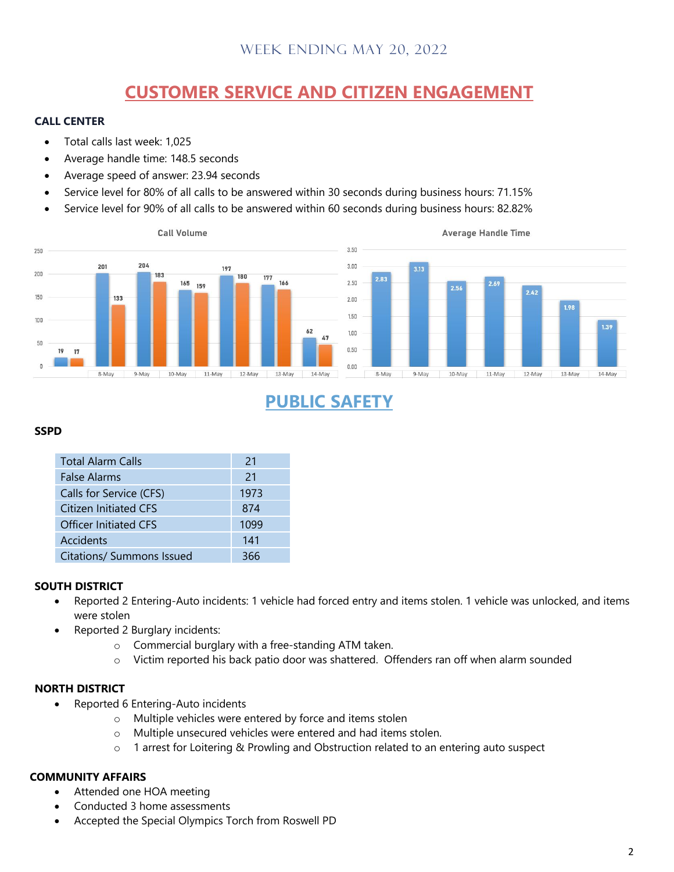# **CUSTOMER SERVICE AND CITIZEN ENGAGEMENT**

#### **CALL CENTER**

- Total calls last week: 1,025
- Average handle time: 148.5 seconds
- Average speed of answer: 23.94 seconds
- Service level for 80% of all calls to be answered within 30 seconds during business hours: 71.15%
- Service level for 90% of all calls to be answered within 60 seconds during business hours: 82.82%



# **PUBLIC SAFETY**

#### **SSPD**

| <b>Total Alarm Calls</b>     | 21   |
|------------------------------|------|
| <b>False Alarms</b>          | 21   |
| Calls for Service (CFS)      | 1973 |
| Citizen Initiated CFS        | 874  |
| <b>Officer Initiated CFS</b> | 1099 |
| Accidents                    | 141  |
| Citations/ Summons Issued    | 366  |

#### **SOUTH DISTRICT**

- Reported 2 Entering-Auto incidents: 1 vehicle had forced entry and items stolen. 1 vehicle was unlocked, and items were stolen
- Reported 2 Burglary incidents:
	- o Commercial burglary with a free-standing ATM taken.
	- o Victim reported his back patio door was shattered. Offenders ran off when alarm sounded

#### **NORTH DISTRICT**

- Reported 6 Entering-Auto incidents
	- o Multiple vehicles were entered by force and items stolen
	- o Multiple unsecured vehicles were entered and had items stolen.
	- o 1 arrest for Loitering & Prowling and Obstruction related to an entering auto suspect

#### **COMMUNITY AFFAIRS**

- Attended one HOA meeting
- Conducted 3 home assessments
- Accepted the Special Olympics Torch from Roswell PD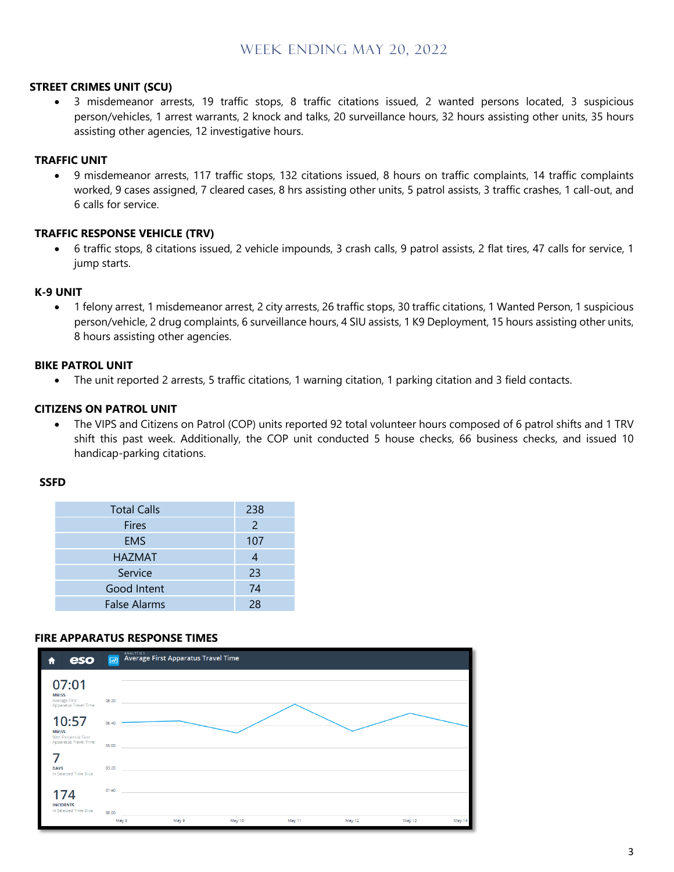#### **STREET CRIMES UNIT (SCU)**

• 3 misdemeanor arrests, 19 traffic stops, 8 traffic citations issued, 2 wanted persons located, 3 suspicious person/vehicles, 1 arrest warrants, 2 knock and talks, 20 surveillance hours, 32 hours assisting other units, 35 hours assisting other agencies, 12 investigative hours.

#### **TRAFFIC UNIT**

• 9 misdemeanor arrests, 117 traffic stops, 132 citations issued, 8 hours on traffic complaints, 14 traffic complaints worked, 9 cases assigned, 7 cleared cases, 8 hrs assisting other units, 5 patrol assists, 3 traffic crashes, 1 call-out, and 6 calls for service.

#### **TRAFFIC RESPONSE VEHICLE (TRV)**

• 6 traffic stops, 8 citations issued, 2 vehicle impounds, 3 crash calls, 9 patrol assists, 2 flat tires, 47 calls for service, 1 jump starts.

#### **K-9 UNIT**

• 1 felony arrest, 1 misdemeanor arrest, 2 city arrests, 26 traffic stops, 30 traffic citations, 1 Wanted Person, 1 suspicious person/vehicle, 2 drug complaints, 6 surveillance hours, 4 SIU assists, 1 K9 Deployment, 15 hours assisting other units, 8 hours assisting other agencies.

#### **BIKE PATROL UNIT**

• The unit reported 2 arrests, 5 traffic citations, 1 warning citation, 1 parking citation and 3 field contacts.

#### **CITIZENS ON PATROL UNIT**

• The VIPS and Citizens on Patrol (COP) units reported 92 total volunteer hours composed of 6 patrol shifts and 1 TRV shift this past week. Additionally, the COP unit conducted 5 house checks, 66 business checks, and issued 10 handicap-parking citations.

#### **SSFD**

| <b>Total Calls</b>  | 238 |
|---------------------|-----|
| <b>Fires</b>        | 2   |
| <b>EMS</b>          | 107 |
| <b>HAZMAT</b>       |     |
| Service             | 23  |
| Good Intent         | 74  |
| <b>False Alarms</b> | 28  |
|                     |     |

#### **FIRE APPARATUS RESPONSE TIMES**

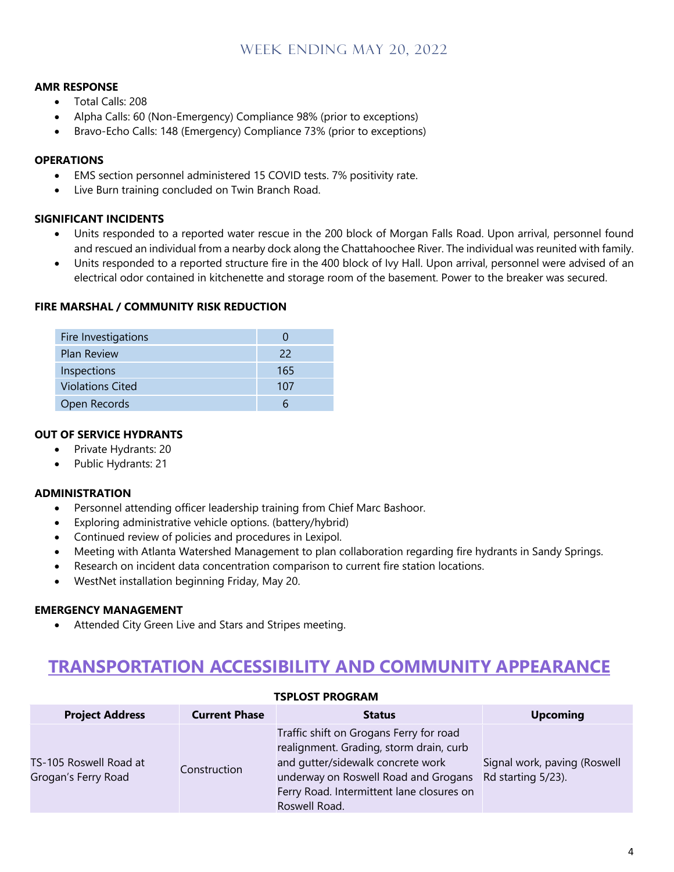#### **AMR RESPONSE**

- Total Calls: 208
- Alpha Calls: 60 (Non-Emergency) Compliance 98% (prior to exceptions)
- Bravo-Echo Calls: 148 (Emergency) Compliance 73% (prior to exceptions)

#### **OPERATIONS**

- EMS section personnel administered 15 COVID tests. 7% positivity rate.
- Live Burn training concluded on Twin Branch Road.

#### **SIGNIFICANT INCIDENTS**

- Units responded to a reported water rescue in the 200 block of Morgan Falls Road. Upon arrival, personnel found and rescued an individual from a nearby dock along the Chattahoochee River. The individual was reunited with family.
- Units responded to a reported structure fire in the 400 block of Ivy Hall. Upon arrival, personnel were advised of an electrical odor contained in kitchenette and storage room of the basement. Power to the breaker was secured.

#### **FIRE MARSHAL / COMMUNITY RISK REDUCTION**

| Fire Investigations     |     |
|-------------------------|-----|
| <b>Plan Review</b>      | 22  |
| Inspections             | 165 |
| <b>Violations Cited</b> | 107 |
| Open Records            |     |

#### **OUT OF SERVICE HYDRANTS**

- Private Hydrants: 20
- Public Hydrants: 21

#### **ADMINISTRATION**

- Personnel attending officer leadership training from Chief Marc Bashoor.
- Exploring administrative vehicle options. (battery/hybrid)
- Continued review of policies and procedures in Lexipol.
- Meeting with Atlanta Watershed Management to plan collaboration regarding fire hydrants in Sandy Springs.
- Research on incident data concentration comparison to current fire station locations.
- WestNet installation beginning Friday, May 20.

#### **EMERGENCY MANAGEMENT**

• Attended City Green Live and Stars and Stripes meeting.

# **TRANSPORTATION ACCESSIBILITY AND COMMUNITY APPEARANCE**

| IJPLUJI PRUURAIVI                             |                      |                                                                                                                                                                                                                               |                                                    |  |
|-----------------------------------------------|----------------------|-------------------------------------------------------------------------------------------------------------------------------------------------------------------------------------------------------------------------------|----------------------------------------------------|--|
| <b>Project Address</b>                        | <b>Current Phase</b> | <b>Status</b>                                                                                                                                                                                                                 | <b>Upcoming</b>                                    |  |
| TS-105 Roswell Road at<br>Grogan's Ferry Road | Construction         | Traffic shift on Grogans Ferry for road<br>realignment. Grading, storm drain, curb<br>and gutter/sidewalk concrete work<br>underway on Roswell Road and Grogans<br>Ferry Road. Intermittent lane closures on<br>Roswell Road. | Signal work, paving (Roswell<br>Rd starting 5/23). |  |

## **TSPLOST PROGRAM**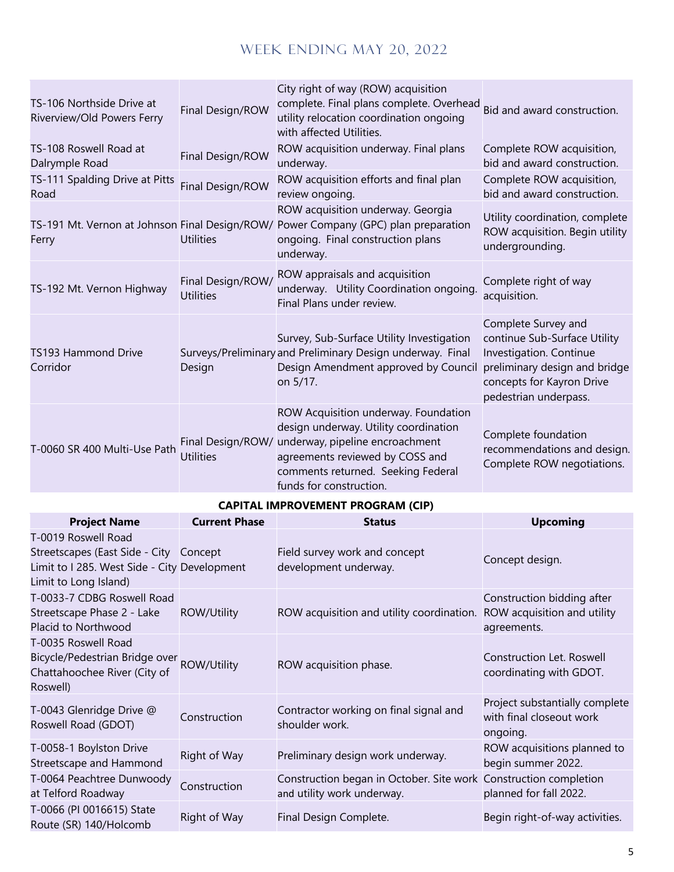| TS-106 Northside Drive at<br>Riverview/Old Powers Ferry | Final Design/ROW                      | City right of way (ROW) acquisition<br>complete. Final plans complete. Overhead<br>utility relocation coordination ongoing<br>with affected Utilities.                                                               | Bid and award construction.                                                                                                                                           |
|---------------------------------------------------------|---------------------------------------|----------------------------------------------------------------------------------------------------------------------------------------------------------------------------------------------------------------------|-----------------------------------------------------------------------------------------------------------------------------------------------------------------------|
| TS-108 Roswell Road at<br>Dalrymple Road                | Final Design/ROW                      | ROW acquisition underway. Final plans<br>underway.                                                                                                                                                                   | Complete ROW acquisition,<br>bid and award construction.                                                                                                              |
| TS-111 Spalding Drive at Pitts<br>Road                  | Final Design/ROW                      | ROW acquisition efforts and final plan<br>review ongoing.                                                                                                                                                            | Complete ROW acquisition,<br>bid and award construction.                                                                                                              |
| Ferry                                                   | <b>Utilities</b>                      | ROW acquisition underway. Georgia<br>TS-191 Mt. Vernon at Johnson Final Design/ROW/ Power Company (GPC) plan preparation<br>ongoing. Final construction plans<br>underway.                                           | Utility coordination, complete<br>ROW acquisition. Begin utility<br>undergrounding.                                                                                   |
| TS-192 Mt. Vernon Highway                               | Final Design/ROW/<br><b>Utilities</b> | ROW appraisals and acquisition<br>underway. Utility Coordination ongoing.<br>Final Plans under review.                                                                                                               | Complete right of way<br>acquisition.                                                                                                                                 |
| <b>TS193 Hammond Drive</b><br>Corridor                  | Design                                | Survey, Sub-Surface Utility Investigation<br>Surveys/Preliminary and Preliminary Design underway. Final<br>Design Amendment approved by Council<br>on 5/17.                                                          | Complete Survey and<br>continue Sub-Surface Utility<br>Investigation. Continue<br>preliminary design and bridge<br>concepts for Kayron Drive<br>pedestrian underpass. |
| T-0060 SR 400 Multi-Use Path                            | Final Design/ROW/<br><b>Utilities</b> | ROW Acquisition underway. Foundation<br>design underway. Utility coordination<br>underway, pipeline encroachment<br>agreements reviewed by COSS and<br>comments returned. Seeking Federal<br>funds for construction. | Complete foundation<br>recommendations and design.<br>Complete ROW negotiations.                                                                                      |

## **CAPITAL IMPROVEMENT PROGRAM (CIP)**

| <b>Project Name</b>                                                                                                                    | <b>Current Phase</b> | <b>Status</b>                                                                                  | <b>Upcoming</b>                                                          |
|----------------------------------------------------------------------------------------------------------------------------------------|----------------------|------------------------------------------------------------------------------------------------|--------------------------------------------------------------------------|
| T-0019 Roswell Road<br>Streetscapes (East Side - City Concept<br>Limit to I 285. West Side - City Development<br>Limit to Long Island) |                      | Field survey work and concept<br>development underway.                                         | Concept design.                                                          |
| T-0033-7 CDBG Roswell Road<br>Streetscape Phase 2 - Lake<br>Placid to Northwood                                                        | <b>ROW/Utility</b>   | ROW acquisition and utility coordination.                                                      | Construction bidding after<br>ROW acquisition and utility<br>agreements. |
| T-0035 Roswell Road<br>Bicycle/Pedestrian Bridge over ROW/Utility<br>Chattahoochee River (City of<br>Roswell)                          |                      | ROW acquisition phase.                                                                         | Construction Let. Roswell<br>coordinating with GDOT.                     |
| T-0043 Glenridge Drive @<br>Roswell Road (GDOT)                                                                                        | Construction         | Contractor working on final signal and<br>shoulder work.                                       | Project substantially complete<br>with final closeout work<br>ongoing.   |
| T-0058-1 Boylston Drive<br>Streetscape and Hammond                                                                                     | Right of Way         | Preliminary design work underway.                                                              | ROW acquisitions planned to<br>begin summer 2022.                        |
| T-0064 Peachtree Dunwoody<br>at Telford Roadway                                                                                        | Construction         | Construction began in October. Site work Construction completion<br>and utility work underway. | planned for fall 2022.                                                   |
| T-0066 (PI 0016615) State<br>Route (SR) 140/Holcomb                                                                                    | Right of Way         | Final Design Complete.                                                                         | Begin right-of-way activities.                                           |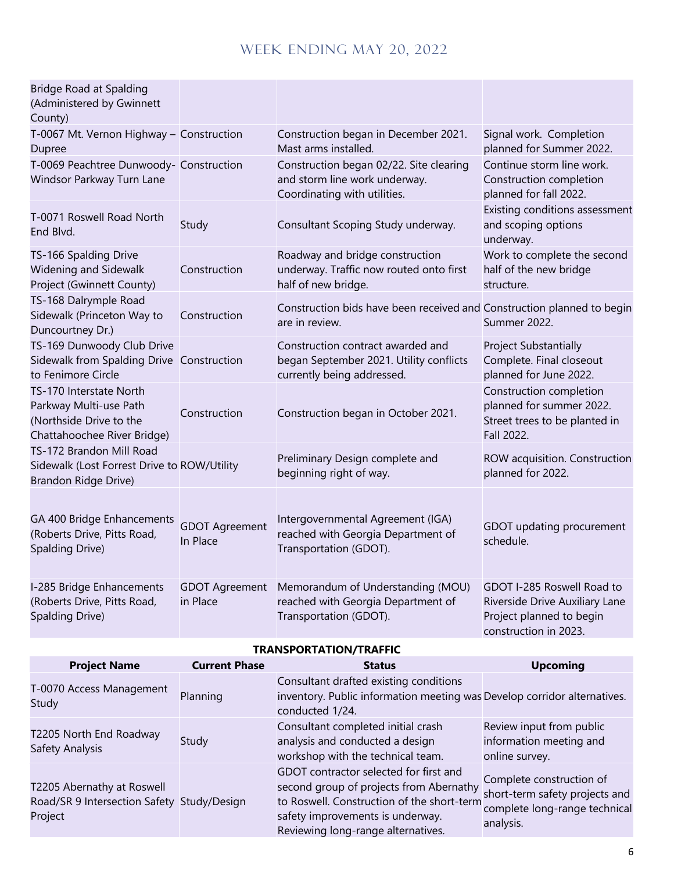| <b>Project Name</b>                                                                                                                                         | <b>Current Phase</b>                                                   | <b>Status</b>                                                                                                                                                                                          | <b>Ilncoming</b>                                                                                                                                            |
|-------------------------------------------------------------------------------------------------------------------------------------------------------------|------------------------------------------------------------------------|--------------------------------------------------------------------------------------------------------------------------------------------------------------------------------------------------------|-------------------------------------------------------------------------------------------------------------------------------------------------------------|
| <b>TRANSPORTATION/TRAFFIC</b>                                                                                                                               |                                                                        |                                                                                                                                                                                                        |                                                                                                                                                             |
| GA 400 Bridge Enhancements<br>(Roberts Drive, Pitts Road,<br>Spalding Drive)<br>I-285 Bridge Enhancements<br>(Roberts Drive, Pitts Road,<br>Spalding Drive) | <b>GDOT Agreement</b><br>In Place<br><b>GDOT Agreement</b><br>in Place | Intergovernmental Agreement (IGA)<br>reached with Georgia Department of<br>Transportation (GDOT).<br>Memorandum of Understanding (MOU)<br>reached with Georgia Department of<br>Transportation (GDOT). | GDOT updating procurement<br>schedule.<br>GDOT I-285 Roswell Road to<br>Riverside Drive Auxiliary Lane<br>Project planned to begin<br>construction in 2023. |
| TS-172 Brandon Mill Road<br>Sidewalk (Lost Forrest Drive to ROW/Utility<br>Brandon Ridge Drive)                                                             |                                                                        | Preliminary Design complete and<br>beginning right of way.                                                                                                                                             | ROW acquisition. Construction<br>planned for 2022.                                                                                                          |
| TS-170 Interstate North<br>Parkway Multi-use Path<br>(Northside Drive to the<br>Chattahoochee River Bridge)                                                 | Construction                                                           | Construction began in October 2021.                                                                                                                                                                    | Construction completion<br>planned for summer 2022.<br>Street trees to be planted in<br>Fall 2022.                                                          |
| TS-169 Dunwoody Club Drive<br>Sidewalk from Spalding Drive Construction<br>to Fenimore Circle                                                               |                                                                        | Construction contract awarded and<br>began September 2021. Utility conflicts<br>currently being addressed.                                                                                             | Project Substantially<br>Complete. Final closeout<br>planned for June 2022.                                                                                 |
| TS-168 Dalrymple Road<br>Sidewalk (Princeton Way to<br>Duncourtney Dr.)                                                                                     | Construction                                                           | Construction bids have been received and Construction planned to begin<br>are in review.                                                                                                               | Summer 2022.                                                                                                                                                |
| TS-166 Spalding Drive<br>Widening and Sidewalk<br>Project (Gwinnett County)                                                                                 | Construction                                                           | Roadway and bridge construction<br>underway. Traffic now routed onto first<br>half of new bridge.                                                                                                      | Work to complete the second<br>half of the new bridge<br>structure.                                                                                         |
| T-0071 Roswell Road North<br>End Blvd.                                                                                                                      | Study                                                                  | Consultant Scoping Study underway.                                                                                                                                                                     | Existing conditions assessment<br>and scoping options<br>underway.                                                                                          |
| T-0069 Peachtree Dunwoody- Construction<br>Windsor Parkway Turn Lane                                                                                        |                                                                        | Construction began 02/22. Site clearing<br>and storm line work underway.<br>Coordinating with utilities.                                                                                               | Continue storm line work.<br>Construction completion<br>planned for fall 2022.                                                                              |
| T-0067 Mt. Vernon Highway - Construction<br>Dupree                                                                                                          |                                                                        | Construction began in December 2021.<br>Mast arms installed.                                                                                                                                           | Signal work. Completion<br>planned for Summer 2022.                                                                                                         |
| <b>Bridge Road at Spalding</b><br>(Administered by Gwinnett<br>County)                                                                                      |                                                                        |                                                                                                                                                                                                        |                                                                                                                                                             |

| <b>Project Name</b>                                                                 | <b>Current Phase</b> | <b>Status</b>                                                                                                                                                                                             | <b>Upcoming</b>                                                                                          |
|-------------------------------------------------------------------------------------|----------------------|-----------------------------------------------------------------------------------------------------------------------------------------------------------------------------------------------------------|----------------------------------------------------------------------------------------------------------|
| T-0070 Access Management<br>Study                                                   | Planning             | Consultant drafted existing conditions<br>inventory. Public information meeting was Develop corridor alternatives.<br>conducted 1/24.                                                                     |                                                                                                          |
| T2205 North End Roadway<br>Safety Analysis                                          | Study                | Consultant completed initial crash<br>analysis and conducted a design<br>workshop with the technical team.                                                                                                | Review input from public<br>information meeting and<br>online survey.                                    |
| T2205 Abernathy at Roswell<br>Road/SR 9 Intersection Safety Study/Design<br>Project |                      | GDOT contractor selected for first and<br>second group of projects from Abernathy<br>to Roswell. Construction of the short-term<br>safety improvements is underway.<br>Reviewing long-range alternatives. | Complete construction of<br>short-term safety projects and<br>complete long-range technical<br>analysis. |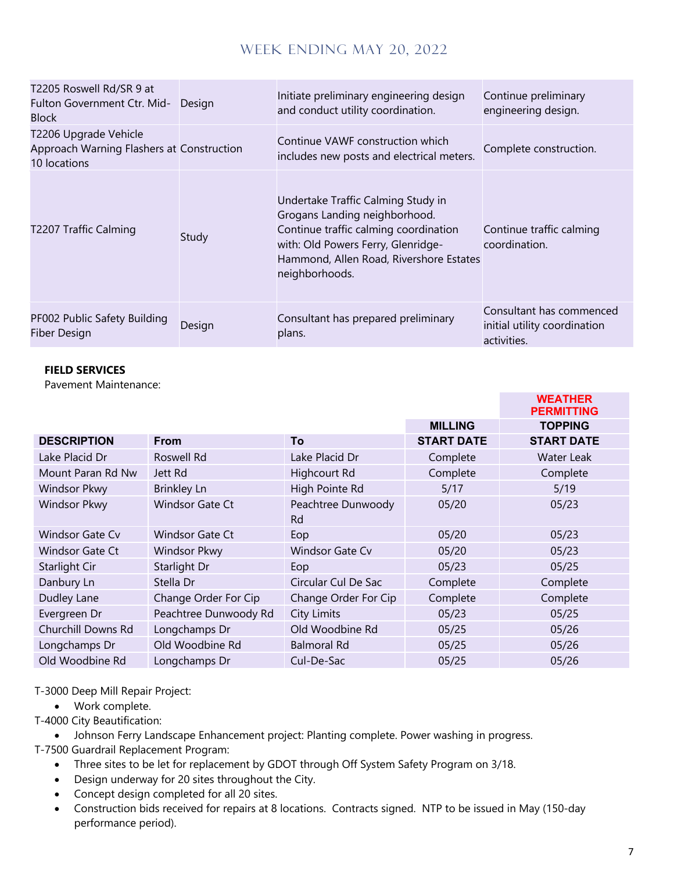| T2205 Roswell Rd/SR 9 at<br>Fulton Government Ctr. Mid-<br><b>Block</b>            | Design | Initiate preliminary engineering design<br>and conduct utility coordination.                                                                                                                                    | Continue preliminary<br>engineering design.                             |
|------------------------------------------------------------------------------------|--------|-----------------------------------------------------------------------------------------------------------------------------------------------------------------------------------------------------------------|-------------------------------------------------------------------------|
| T2206 Upgrade Vehicle<br>Approach Warning Flashers at Construction<br>10 locations |        | Continue VAWF construction which<br>includes new posts and electrical meters.                                                                                                                                   | Complete construction.                                                  |
| T2207 Traffic Calming                                                              | Study  | Undertake Traffic Calming Study in<br>Grogans Landing neighborhood.<br>Continue traffic calming coordination<br>with: Old Powers Ferry, Glenridge-<br>Hammond, Allen Road, Rivershore Estates<br>neighborhoods. | Continue traffic calming<br>coordination.                               |
| PF002 Public Safety Building<br><b>Fiber Design</b>                                | Design | Consultant has prepared preliminary<br>plans.                                                                                                                                                                   | Consultant has commenced<br>initial utility coordination<br>activities. |

#### **FIELD SERVICES**

Pavement Maintenance:

|                        |                        |                                 |                   | <b>WEATHER</b><br><b>PERMITTING</b> |
|------------------------|------------------------|---------------------------------|-------------------|-------------------------------------|
|                        |                        |                                 | <b>MILLING</b>    | <b>TOPPING</b>                      |
| <b>DESCRIPTION</b>     | <b>From</b>            | To                              | <b>START DATE</b> | <b>START DATE</b>                   |
| Lake Placid Dr         | Roswell Rd             | Lake Placid Dr                  | Complete          | Water Leak                          |
| Mount Paran Rd Nw      | Jett Rd                | Highcourt Rd                    | Complete          | Complete                            |
| <b>Windsor Pkwy</b>    | <b>Brinkley Ln</b>     | High Pointe Rd                  | 5/17              | 5/19                                |
| <b>Windsor Pkwy</b>    | Windsor Gate Ct        | Peachtree Dunwoody<br><b>Rd</b> | 05/20             | 05/23                               |
| Windsor Gate Cv        | <b>Windsor Gate Ct</b> | Eop                             | 05/20             | 05/23                               |
| <b>Windsor Gate Ct</b> | Windsor Pkwy           | <b>Windsor Gate Cv</b>          | 05/20             | 05/23                               |
| Starlight Cir          | Starlight Dr           | Eop                             | 05/23             | 05/25                               |
| Danbury Ln             | Stella Dr              | Circular Cul De Sac             | Complete          | Complete                            |
| Dudley Lane            | Change Order For Cip   | Change Order For Cip            | Complete          | Complete                            |
| Evergreen Dr           | Peachtree Dunwoody Rd  | City Limits                     | 05/23             | 05/25                               |
| Churchill Downs Rd     | Longchamps Dr          | Old Woodbine Rd                 | 05/25             | 05/26                               |
| Longchamps Dr          | Old Woodbine Rd        | <b>Balmoral Rd</b>              | 05/25             | 05/26                               |
| Old Woodbine Rd        | Longchamps Dr          | Cul-De-Sac                      | 05/25             | 05/26                               |

T-3000 Deep Mill Repair Project:

• Work complete.

T-4000 City Beautification:

• Johnson Ferry Landscape Enhancement project: Planting complete. Power washing in progress.

T-7500 Guardrail Replacement Program:

- Three sites to be let for replacement by GDOT through Off System Safety Program on 3/18.
- Design underway for 20 sites throughout the City.
- Concept design completed for all 20 sites.
- Construction bids received for repairs at 8 locations. Contracts signed. NTP to be issued in May (150-day performance period).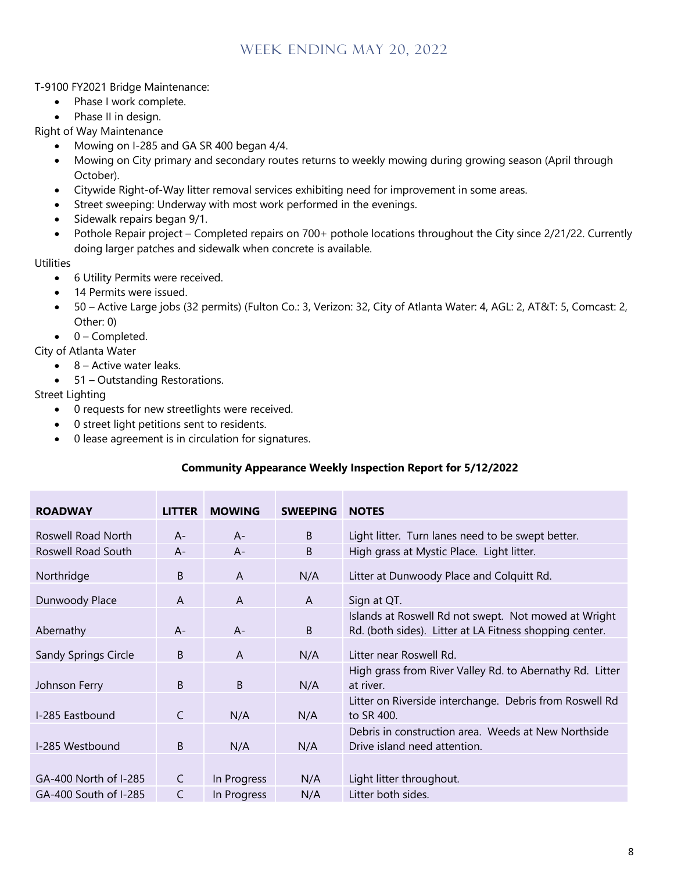T-9100 FY2021 Bridge Maintenance:

- Phase I work complete.
- Phase II in design.

Right of Way Maintenance

- Mowing on I-285 and GA SR 400 began 4/4.
- Mowing on City primary and secondary routes returns to weekly mowing during growing season (April through October).
- Citywide Right-of-Way litter removal services exhibiting need for improvement in some areas.
- Street sweeping: Underway with most work performed in the evenings.
- Sidewalk repairs began 9/1.
- Pothole Repair project Completed repairs on 700+ pothole locations throughout the City since 2/21/22. Currently doing larger patches and sidewalk when concrete is available.

**Utilities** 

- 6 Utility Permits were received.
- 14 Permits were issued.
- 50 Active Large jobs (32 permits) (Fulton Co.: 3, Verizon: 32, City of Atlanta Water: 4, AGL: 2, AT&T: 5, Comcast: 2, Other: 0)
- 0 Completed.

City of Atlanta Water

- $\bullet$  8 Active water leaks.
- 51 Outstanding Restorations.

Street Lighting

- 0 requests for new streetlights were received.
- 0 street light petitions sent to residents.
- 0 lease agreement is in circulation for signatures.

#### **Community Appearance Weekly Inspection Report for 5/12/2022**

| <b>ROADWAY</b>        | <b>LITTER</b> | <b>MOWING</b> | <b>SWEEPING</b> | <b>NOTES</b>                                                                                                    |
|-----------------------|---------------|---------------|-----------------|-----------------------------------------------------------------------------------------------------------------|
| Roswell Road North    | $A -$         | $A -$         | B               | Light litter. Turn lanes need to be swept better.                                                               |
| Roswell Road South    | $A -$         | $A -$         | B               | High grass at Mystic Place. Light litter.                                                                       |
| Northridge            | B             | $\mathsf{A}$  | N/A             | Litter at Dunwoody Place and Colquitt Rd.                                                                       |
| Dunwoody Place        | A             | A             | A               | Sign at QT.                                                                                                     |
| Abernathy             | $A -$         | $A -$         | B               | Islands at Roswell Rd not swept. Not mowed at Wright<br>Rd. (both sides). Litter at LA Fitness shopping center. |
| Sandy Springs Circle  | B             | A             | N/A             | Litter near Roswell Rd.                                                                                         |
| Johnson Ferry         | B             | B             | N/A             | High grass from River Valley Rd. to Abernathy Rd. Litter<br>at river.                                           |
| I-285 Eastbound       | $\mathsf{C}$  | N/A           | N/A             | Litter on Riverside interchange. Debris from Roswell Rd<br>to SR 400.                                           |
| I-285 Westbound       | B             | N/A           | N/A             | Debris in construction area. Weeds at New Northside<br>Drive island need attention.                             |
|                       |               |               |                 |                                                                                                                 |
| GA-400 North of I-285 | $\mathsf{C}$  | In Progress   | N/A             | Light litter throughout.                                                                                        |
| GA-400 South of I-285 | C             | In Progress   | N/A             | Litter both sides.                                                                                              |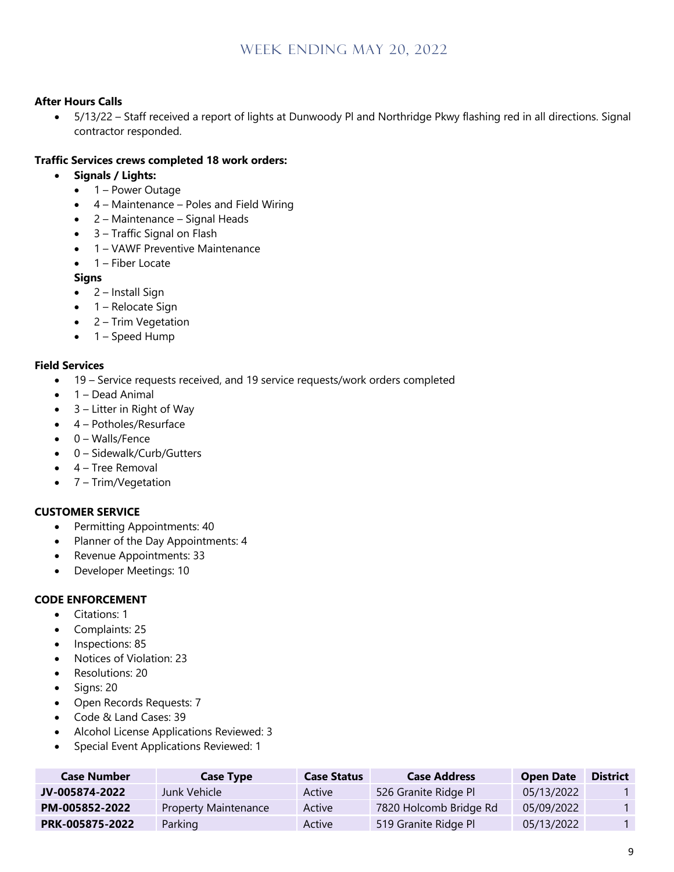#### **After Hours Calls**

• 5/13/22 – Staff received a report of lights at Dunwoody Pl and Northridge Pkwy flashing red in all directions. Signal contractor responded.

#### **Traffic Services crews completed 18 work orders:**

- **Signals / Lights:**
	- 1 Power Outage
	- 4 Maintenance Poles and Field Wiring
	- 2 Maintenance Signal Heads
	- 3 Traffic Signal on Flash
	- 1 VAWF Preventive Maintenance
	- $\bullet$  1 Fiber Locate

#### **Signs**

- 2 Install Sign
- 1 Relocate Sign
- 2 Trim Vegetation
- 1 Speed Hump

#### **Field Services**

- 19 Service requests received, and 19 service requests/work orders completed
- $\bullet$  1 Dead Animal
- $\bullet$  3 Litter in Right of Way
- 4 Potholes/Resurface
- 0 Walls/Fence
- 0 Sidewalk/Curb/Gutters
- 4 Tree Removal
- 7 Trim/Vegetation

#### **CUSTOMER SERVICE**

- Permitting Appointments: 40
- Planner of the Day Appointments: 4
- Revenue Appointments: 33
- Developer Meetings: 10

#### **CODE ENFORCEMENT**

- Citations: 1
- Complaints: 25
- Inspections: 85
- Notices of Violation: 23
- Resolutions: 20
- Signs: 20
- Open Records Requests: 7
- Code & Land Cases: 39
- Alcohol License Applications Reviewed: 3
- Special Event Applications Reviewed: 1

| <b>Case Number</b> | <b>Case Type</b>            | <b>Case Status</b> | <b>Case Address</b>    | <b>Open Date</b> | <b>District</b> |
|--------------------|-----------------------------|--------------------|------------------------|------------------|-----------------|
| JV-005874-2022     | Junk Vehicle I              | Active             | 526 Granite Ridge Pl   | 05/13/2022       |                 |
| PM-005852-2022     | <b>Property Maintenance</b> | Active             | 7820 Holcomb Bridge Rd | 05/09/2022       |                 |
| PRK-005875-2022    | Parking                     | Active             | 519 Granite Ridge Pl   | 05/13/2022       |                 |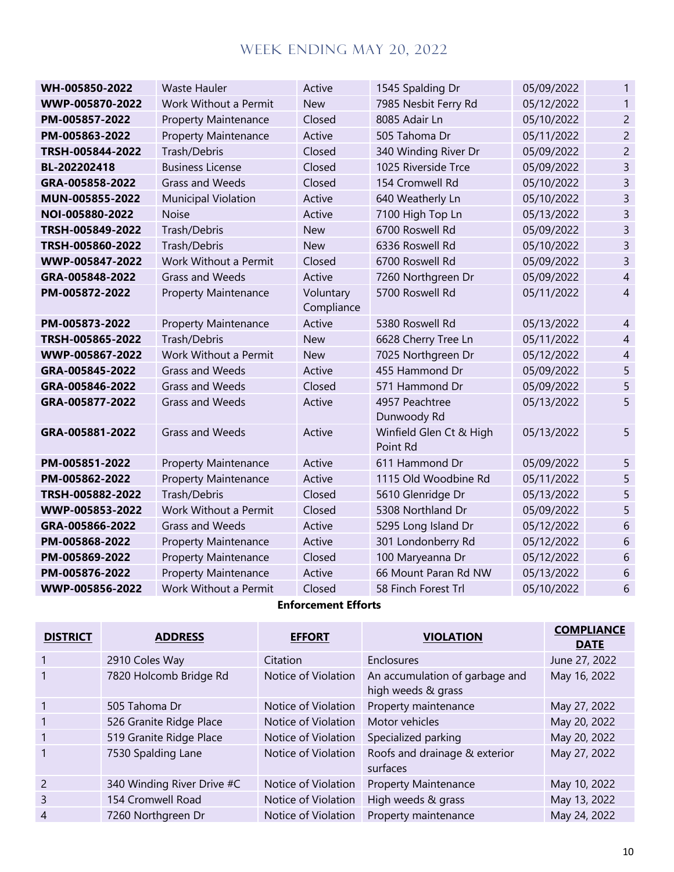| WH-005850-2022   | <b>Waste Hauler</b>         | Active                  | 1545 Spalding Dr                    | 05/09/2022 | 1              |
|------------------|-----------------------------|-------------------------|-------------------------------------|------------|----------------|
| WWP-005870-2022  | Work Without a Permit       | <b>New</b>              | 7985 Nesbit Ferry Rd                | 05/12/2022 | 1              |
| PM-005857-2022   | <b>Property Maintenance</b> | Closed                  | 8085 Adair Ln                       | 05/10/2022 | $\overline{2}$ |
| PM-005863-2022   | <b>Property Maintenance</b> | Active                  | 505 Tahoma Dr                       | 05/11/2022 | $\overline{2}$ |
| TRSH-005844-2022 | Trash/Debris                | Closed                  | 340 Winding River Dr                | 05/09/2022 | $\overline{2}$ |
| BL-202202418     | <b>Business License</b>     | Closed                  | 1025 Riverside Trce                 | 05/09/2022 | 3              |
| GRA-005858-2022  | <b>Grass and Weeds</b>      | Closed                  | 154 Cromwell Rd                     | 05/10/2022 | 3              |
| MUN-005855-2022  | <b>Municipal Violation</b>  | Active                  | 640 Weatherly Ln                    | 05/10/2022 | 3              |
| NOI-005880-2022  | <b>Noise</b>                | Active                  | 7100 High Top Ln                    | 05/13/2022 | 3              |
| TRSH-005849-2022 | Trash/Debris                | <b>New</b>              | 6700 Roswell Rd                     | 05/09/2022 | 3              |
| TRSH-005860-2022 | Trash/Debris                | <b>New</b>              | 6336 Roswell Rd                     | 05/10/2022 | 3              |
| WWP-005847-2022  | Work Without a Permit       | Closed                  | 6700 Roswell Rd                     | 05/09/2022 | 3              |
| GRA-005848-2022  | <b>Grass and Weeds</b>      | Active                  | 7260 Northgreen Dr                  | 05/09/2022 | $\overline{4}$ |
| PM-005872-2022   | <b>Property Maintenance</b> | Voluntary<br>Compliance | 5700 Roswell Rd                     | 05/11/2022 | $\overline{4}$ |
| PM-005873-2022   | <b>Property Maintenance</b> | Active                  | 5380 Roswell Rd                     | 05/13/2022 | $\overline{4}$ |
| TRSH-005865-2022 | Trash/Debris                | <b>New</b>              | 6628 Cherry Tree Ln                 | 05/11/2022 | $\overline{4}$ |
| WWP-005867-2022  | Work Without a Permit       | <b>New</b>              | 7025 Northgreen Dr                  | 05/12/2022 | $\overline{4}$ |
| GRA-005845-2022  | <b>Grass and Weeds</b>      | Active                  | 455 Hammond Dr                      | 05/09/2022 | 5              |
| GRA-005846-2022  | <b>Grass and Weeds</b>      | Closed                  | 571 Hammond Dr                      | 05/09/2022 | 5              |
| GRA-005877-2022  | <b>Grass and Weeds</b>      | Active                  | 4957 Peachtree<br>Dunwoody Rd       | 05/13/2022 | 5              |
| GRA-005881-2022  | <b>Grass and Weeds</b>      | Active                  | Winfield Glen Ct & High<br>Point Rd | 05/13/2022 | 5              |
| PM-005851-2022   | <b>Property Maintenance</b> | Active                  | 611 Hammond Dr                      | 05/09/2022 | 5              |
| PM-005862-2022   | <b>Property Maintenance</b> | Active                  | 1115 Old Woodbine Rd                | 05/11/2022 | 5              |
| TRSH-005882-2022 | Trash/Debris                | Closed                  | 5610 Glenridge Dr                   | 05/13/2022 | 5              |
| WWP-005853-2022  | Work Without a Permit       | Closed                  | 5308 Northland Dr                   | 05/09/2022 | 5              |
| GRA-005866-2022  | <b>Grass and Weeds</b>      | Active                  | 5295 Long Island Dr                 | 05/12/2022 | 6              |
| PM-005868-2022   | <b>Property Maintenance</b> | Active                  | 301 Londonberry Rd                  | 05/12/2022 | 6              |
| PM-005869-2022   | <b>Property Maintenance</b> | Closed                  | 100 Maryeanna Dr                    | 05/12/2022 | 6              |
| PM-005876-2022   | <b>Property Maintenance</b> | Active                  | 66 Mount Paran Rd NW                | 05/13/2022 | 6              |
| WWP-005856-2022  | Work Without a Permit       | Closed                  | 58 Finch Forest Trl                 | 05/10/2022 | 6              |

## **Enforcement Efforts**

| <b>DISTRICT</b> | <b>ADDRESS</b>             | <b>EFFORT</b>       | <b>VIOLATION</b>                                     | <b>COMPLIANCE</b><br><b>DATE</b> |
|-----------------|----------------------------|---------------------|------------------------------------------------------|----------------------------------|
|                 | 2910 Coles Way             | Citation            | Enclosures                                           | June 27, 2022                    |
|                 | 7820 Holcomb Bridge Rd     | Notice of Violation | An accumulation of garbage and<br>high weeds & grass | May 16, 2022                     |
|                 | 505 Tahoma Dr              | Notice of Violation | Property maintenance                                 | May 27, 2022                     |
|                 | 526 Granite Ridge Place    | Notice of Violation | Motor vehicles                                       | May 20, 2022                     |
|                 | 519 Granite Ridge Place    | Notice of Violation | Specialized parking                                  | May 20, 2022                     |
|                 | 7530 Spalding Lane         | Notice of Violation | Roofs and drainage & exterior<br>surfaces            | May 27, 2022                     |
| $\overline{2}$  | 340 Winding River Drive #C | Notice of Violation | <b>Property Maintenance</b>                          | May 10, 2022                     |
| 3               | 154 Cromwell Road          | Notice of Violation | High weeds & grass                                   | May 13, 2022                     |
| 4               | 7260 Northgreen Dr         | Notice of Violation | Property maintenance                                 | May 24, 2022                     |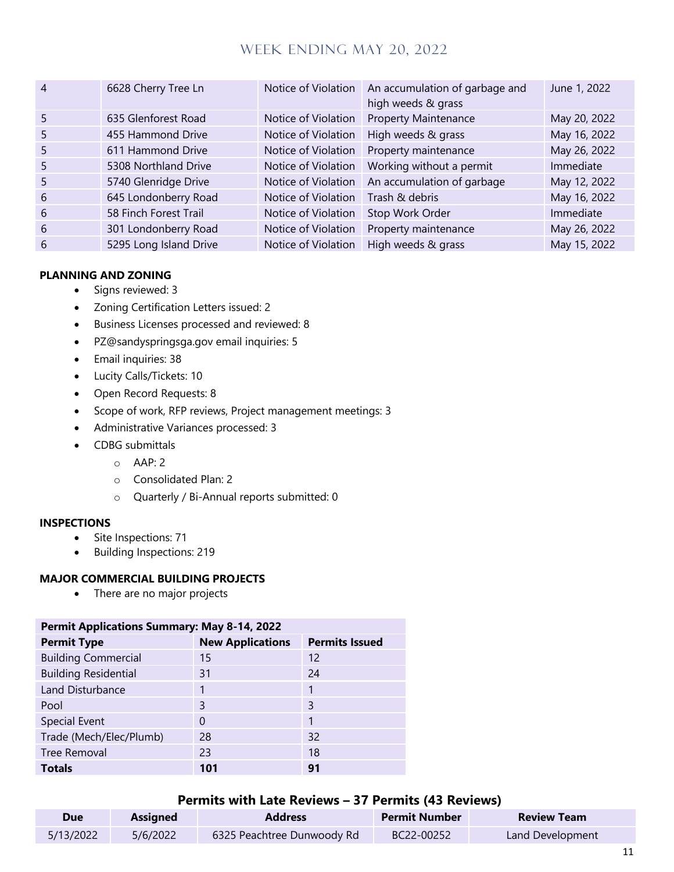| $\overline{4}$ | 6628 Cherry Tree Ln    | Notice of Violation | An accumulation of garbage and<br>high weeds & grass | June 1, 2022 |
|----------------|------------------------|---------------------|------------------------------------------------------|--------------|
| 5              | 635 Glenforest Road    | Notice of Violation | <b>Property Maintenance</b>                          | May 20, 2022 |
| 5              | 455 Hammond Drive      | Notice of Violation | High weeds & grass                                   | May 16, 2022 |
| 5              | 611 Hammond Drive      | Notice of Violation | Property maintenance                                 | May 26, 2022 |
| 5              | 5308 Northland Drive   | Notice of Violation | Working without a permit                             | Immediate    |
| 5              | 5740 Glenridge Drive   | Notice of Violation | An accumulation of garbage                           | May 12, 2022 |
| 6              | 645 Londonberry Road   | Notice of Violation | Trash & debris                                       | May 16, 2022 |
| 6              | 58 Finch Forest Trail  | Notice of Violation | Stop Work Order                                      | Immediate    |
| 6              | 301 Londonberry Road   | Notice of Violation | Property maintenance                                 | May 26, 2022 |
| 6              | 5295 Long Island Drive | Notice of Violation | High weeds & grass                                   | May 15, 2022 |

#### **PLANNING AND ZONING**

- Signs reviewed: 3
- Zoning Certification Letters issued: 2
- Business Licenses processed and reviewed: 8
- PZ@sandyspringsga.gov email inquiries: 5
- Email inquiries: 38
- Lucity Calls/Tickets: 10
- Open Record Requests: 8
- Scope of work, RFP reviews, Project management meetings: 3
- Administrative Variances processed: 3
- CDBG submittals
	- $O$  AAP: 2
	- o Consolidated Plan: 2
	- o Quarterly / Bi-Annual reports submitted: 0

#### **INSPECTIONS**

- Site Inspections: 71
- Building Inspections: 219

#### **MAJOR COMMERCIAL BUILDING PROJECTS**

• There are no major projects

| <b>Permit Applications Summary: May 8-14, 2022</b> |                         |                       |  |  |
|----------------------------------------------------|-------------------------|-----------------------|--|--|
| <b>Permit Type</b>                                 | <b>New Applications</b> | <b>Permits Issued</b> |  |  |
| <b>Building Commercial</b>                         | 15                      | 12                    |  |  |
| <b>Building Residential</b>                        | 31                      | 24                    |  |  |
| Land Disturbance                                   |                         |                       |  |  |
| Pool                                               | 3                       | 3                     |  |  |
| Special Event                                      | $\Omega$                | 1                     |  |  |
| Trade (Mech/Elec/Plumb)                            | 28                      | 32                    |  |  |
| <b>Tree Removal</b>                                | 23                      | 18                    |  |  |
| <b>Totals</b>                                      | 101                     | 91                    |  |  |

#### **Permits with Late Reviews – 37 Permits (43 Reviews)**

| <b>Due</b> | <b>Assigned</b> | <b>Address</b>             | <b>Permit Number</b> | <b>Review Team</b> |
|------------|-----------------|----------------------------|----------------------|--------------------|
| 5/13/2022  | 5/6/2022        | 6325 Peachtree Dunwoody Rd | BC22-00252           | Land Development   |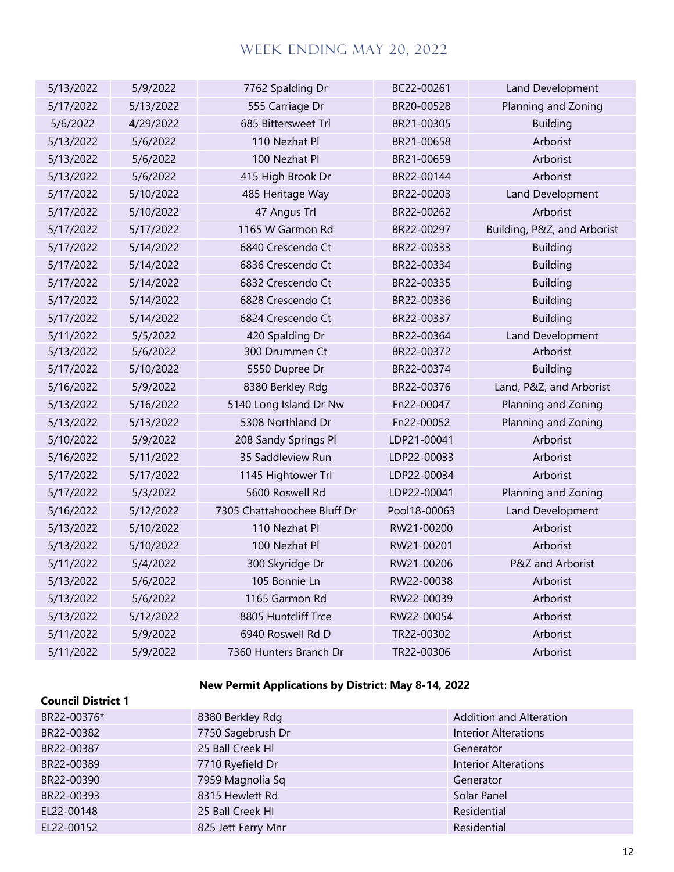| 5/13/2022 | 5/9/2022  | 7762 Spalding Dr            | BC22-00261   | Land Development            |
|-----------|-----------|-----------------------------|--------------|-----------------------------|
| 5/17/2022 | 5/13/2022 | 555 Carriage Dr             | BR20-00528   | Planning and Zoning         |
| 5/6/2022  | 4/29/2022 | 685 Bittersweet Trl         | BR21-00305   | <b>Building</b>             |
| 5/13/2022 | 5/6/2022  | 110 Nezhat Pl               | BR21-00658   | Arborist                    |
| 5/13/2022 | 5/6/2022  | 100 Nezhat Pl               | BR21-00659   | Arborist                    |
| 5/13/2022 | 5/6/2022  | 415 High Brook Dr           | BR22-00144   | Arborist                    |
| 5/17/2022 | 5/10/2022 | 485 Heritage Way            | BR22-00203   | Land Development            |
| 5/17/2022 | 5/10/2022 | 47 Angus Trl                | BR22-00262   | Arborist                    |
| 5/17/2022 | 5/17/2022 | 1165 W Garmon Rd            | BR22-00297   | Building, P&Z, and Arborist |
| 5/17/2022 | 5/14/2022 | 6840 Crescendo Ct           | BR22-00333   | <b>Building</b>             |
| 5/17/2022 | 5/14/2022 | 6836 Crescendo Ct           | BR22-00334   | <b>Building</b>             |
| 5/17/2022 | 5/14/2022 | 6832 Crescendo Ct           | BR22-00335   | <b>Building</b>             |
| 5/17/2022 | 5/14/2022 | 6828 Crescendo Ct           | BR22-00336   | <b>Building</b>             |
| 5/17/2022 | 5/14/2022 | 6824 Crescendo Ct           | BR22-00337   | <b>Building</b>             |
| 5/11/2022 | 5/5/2022  | 420 Spalding Dr             | BR22-00364   | Land Development            |
| 5/13/2022 | 5/6/2022  | 300 Drummen Ct              | BR22-00372   | Arborist                    |
| 5/17/2022 | 5/10/2022 | 5550 Dupree Dr              | BR22-00374   | <b>Building</b>             |
| 5/16/2022 | 5/9/2022  | 8380 Berkley Rdg            | BR22-00376   | Land, P&Z, and Arborist     |
| 5/13/2022 | 5/16/2022 | 5140 Long Island Dr Nw      | Fn22-00047   | Planning and Zoning         |
| 5/13/2022 | 5/13/2022 | 5308 Northland Dr           | Fn22-00052   | Planning and Zoning         |
| 5/10/2022 | 5/9/2022  | 208 Sandy Springs Pl        | LDP21-00041  | Arborist                    |
| 5/16/2022 | 5/11/2022 | 35 Saddleview Run           | LDP22-00033  | Arborist                    |
| 5/17/2022 | 5/17/2022 | 1145 Hightower Trl          | LDP22-00034  | Arborist                    |
| 5/17/2022 | 5/3/2022  | 5600 Roswell Rd             | LDP22-00041  | Planning and Zoning         |
| 5/16/2022 | 5/12/2022 | 7305 Chattahoochee Bluff Dr | Pool18-00063 | Land Development            |
| 5/13/2022 | 5/10/2022 | 110 Nezhat Pl               | RW21-00200   | Arborist                    |
| 5/13/2022 | 5/10/2022 | 100 Nezhat Pl               | RW21-00201   | Arborist                    |
| 5/11/2022 | 5/4/2022  | 300 Skyridge Dr             | RW21-00206   | P&Z and Arborist            |
| 5/13/2022 | 5/6/2022  | 105 Bonnie Ln               | RW22-00038   | Arborist                    |
| 5/13/2022 | 5/6/2022  | 1165 Garmon Rd              | RW22-00039   | Arborist                    |
| 5/13/2022 | 5/12/2022 | 8805 Huntcliff Trce         | RW22-00054   | Arborist                    |
| 5/11/2022 | 5/9/2022  | 6940 Roswell Rd D           | TR22-00302   | Arborist                    |
| 5/11/2022 | 5/9/2022  | 7360 Hunters Branch Dr      | TR22-00306   | Arborist                    |

## **New Permit Applications by District: May 8-14, 2022**

| <b>Council District 1</b> |                    |                             |
|---------------------------|--------------------|-----------------------------|
| BR22-00376*               | 8380 Berkley Rdg   | Addition and Alteration     |
| BR22-00382                | 7750 Sagebrush Dr  | <b>Interior Alterations</b> |
| BR22-00387                | 25 Ball Creek HI   | Generator                   |
| BR22-00389                | 7710 Ryefield Dr   | <b>Interior Alterations</b> |
| BR22-00390                | 7959 Magnolia Sq   | Generator                   |
| BR22-00393                | 8315 Hewlett Rd    | Solar Panel                 |
| EL22-00148                | 25 Ball Creek HI   | Residential                 |
| EL22-00152                | 825 Jett Ferry Mnr | Residential                 |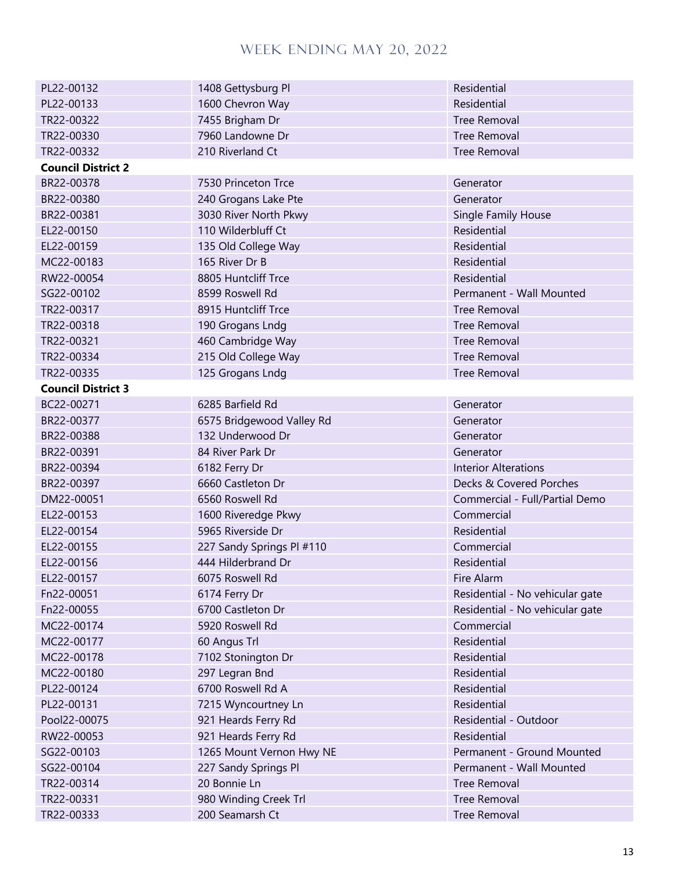| PL22-00132                | 1408 Gettysburg Pl        | Residential                     |
|---------------------------|---------------------------|---------------------------------|
| PL22-00133                | 1600 Chevron Way          | Residential                     |
| TR22-00322                | 7455 Brigham Dr           | <b>Tree Removal</b>             |
| TR22-00330                | 7960 Landowne Dr          | <b>Tree Removal</b>             |
| TR22-00332                | 210 Riverland Ct          | <b>Tree Removal</b>             |
| <b>Council District 2</b> |                           |                                 |
| BR22-00378                | 7530 Princeton Trce       | Generator                       |
| BR22-00380                | 240 Grogans Lake Pte      | Generator                       |
| BR22-00381                | 3030 River North Pkwy     | <b>Single Family House</b>      |
| EL22-00150                | 110 Wilderbluff Ct        | Residential                     |
| EL22-00159                | 135 Old College Way       | Residential                     |
| MC22-00183                | 165 River Dr B            | Residential                     |
| RW22-00054                | 8805 Huntcliff Trce       | Residential                     |
| SG22-00102                | 8599 Roswell Rd           | Permanent - Wall Mounted        |
| TR22-00317                | 8915 Huntcliff Trce       | <b>Tree Removal</b>             |
| TR22-00318                | 190 Grogans Lndg          | <b>Tree Removal</b>             |
| TR22-00321                | 460 Cambridge Way         | <b>Tree Removal</b>             |
| TR22-00334                | 215 Old College Way       | <b>Tree Removal</b>             |
| TR22-00335                | 125 Grogans Lndg          | <b>Tree Removal</b>             |
| <b>Council District 3</b> |                           |                                 |
| BC22-00271                | 6285 Barfield Rd          | Generator                       |
| BR22-00377                | 6575 Bridgewood Valley Rd | Generator                       |
| BR22-00388                | 132 Underwood Dr          | Generator                       |
| BR22-00391                | 84 River Park Dr          | Generator                       |
| BR22-00394                | 6182 Ferry Dr             | <b>Interior Alterations</b>     |
| BR22-00397                | 6660 Castleton Dr         | Decks & Covered Porches         |
| DM22-00051                | 6560 Roswell Rd           | Commercial - Full/Partial Demo  |
| EL22-00153                | 1600 Riveredge Pkwy       | Commercial                      |
| EL22-00154                | 5965 Riverside Dr         | Residential                     |
| EL22-00155                | 227 Sandy Springs Pl #110 | Commercial                      |
| EL22-00156                | 444 Hilderbrand Dr        | Residential                     |
| EL22-00157                | 6075 Roswell Rd           | Fire Alarm                      |
| Fn22-00051                | 6174 Ferry Dr             | Residential - No vehicular gate |
| Fn22-00055                | 6700 Castleton Dr         | Residential - No vehicular gate |
| MC22-00174                | 5920 Roswell Rd           | Commercial                      |
| MC22-00177                | 60 Angus Trl              | Residential                     |
| MC22-00178                | 7102 Stonington Dr        | Residential                     |
| MC22-00180                | 297 Legran Bnd            | Residential                     |
| PL22-00124                | 6700 Roswell Rd A         | Residential                     |
| PL22-00131                | 7215 Wyncourtney Ln       | Residential                     |
| Pool22-00075              | 921 Heards Ferry Rd       | Residential - Outdoor           |
| RW22-00053                | 921 Heards Ferry Rd       | Residential                     |
| SG22-00103                | 1265 Mount Vernon Hwy NE  | Permanent - Ground Mounted      |
| SG22-00104                | 227 Sandy Springs Pl      | Permanent - Wall Mounted        |
| TR22-00314                | 20 Bonnie Ln              | <b>Tree Removal</b>             |
| TR22-00331                | 980 Winding Creek Trl     | <b>Tree Removal</b>             |
| TR22-00333                | 200 Seamarsh Ct           | <b>Tree Removal</b>             |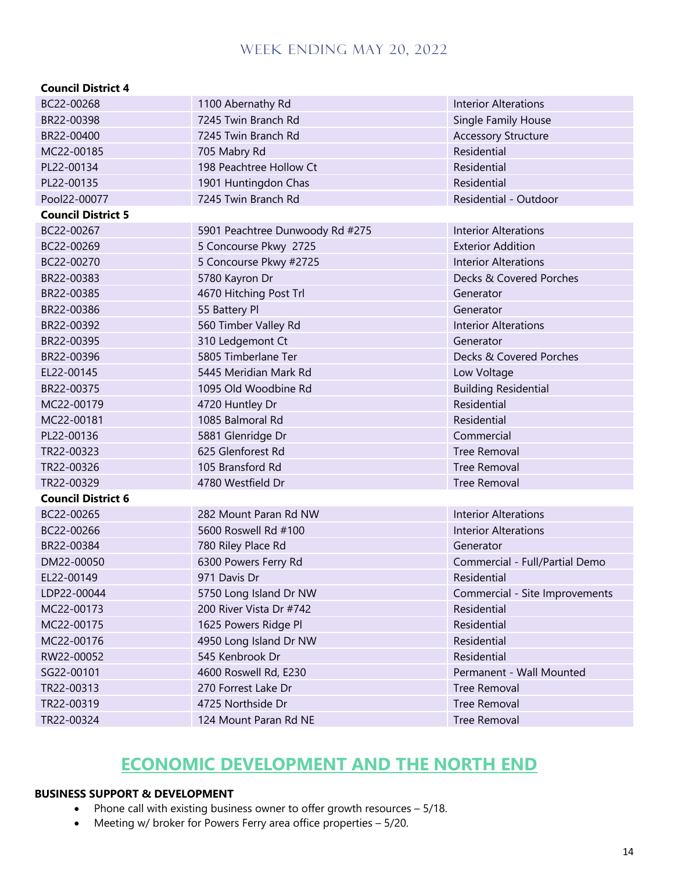#### **Council District 4**

| BC22-00268                | 1100 Abernathy Rd               | <b>Interior Alterations</b>    |
|---------------------------|---------------------------------|--------------------------------|
| BR22-00398                | 7245 Twin Branch Rd             | <b>Single Family House</b>     |
| BR22-00400                | 7245 Twin Branch Rd             | <b>Accessory Structure</b>     |
| MC22-00185                | 705 Mabry Rd                    | Residential                    |
| PL22-00134                | 198 Peachtree Hollow Ct         | Residential                    |
| PL22-00135                | 1901 Huntingdon Chas            | Residential                    |
| Pool22-00077              | 7245 Twin Branch Rd             | Residential - Outdoor          |
| <b>Council District 5</b> |                                 |                                |
| BC22-00267                | 5901 Peachtree Dunwoody Rd #275 | <b>Interior Alterations</b>    |
| BC22-00269                | 5 Concourse Pkwy 2725           | <b>Exterior Addition</b>       |
| BC22-00270                | 5 Concourse Pkwy #2725          | <b>Interior Alterations</b>    |
| BR22-00383                | 5780 Kayron Dr                  | Decks & Covered Porches        |
| BR22-00385                | 4670 Hitching Post Trl          | Generator                      |
| BR22-00386                | 55 Battery Pl                   | Generator                      |
| BR22-00392                | 560 Timber Valley Rd            | <b>Interior Alterations</b>    |
| BR22-00395                | 310 Ledgemont Ct                | Generator                      |
| BR22-00396                | 5805 Timberlane Ter             | Decks & Covered Porches        |
| EL22-00145                | 5445 Meridian Mark Rd           | Low Voltage                    |
| BR22-00375                | 1095 Old Woodbine Rd            | <b>Building Residential</b>    |
| MC22-00179                | 4720 Huntley Dr                 | Residential                    |
| MC22-00181                | 1085 Balmoral Rd                | Residential                    |
| PL22-00136                | 5881 Glenridge Dr               | Commercial                     |
| TR22-00323                | 625 Glenforest Rd               | <b>Tree Removal</b>            |
| TR22-00326                | 105 Bransford Rd                | <b>Tree Removal</b>            |
| TR22-00329                | 4780 Westfield Dr               | <b>Tree Removal</b>            |
| <b>Council District 6</b> |                                 |                                |
| BC22-00265                | 282 Mount Paran Rd NW           | <b>Interior Alterations</b>    |
| BC22-00266                | 5600 Roswell Rd #100            | <b>Interior Alterations</b>    |
| BR22-00384                | 780 Riley Place Rd              | Generator                      |
| DM22-00050                | 6300 Powers Ferry Rd            | Commercial - Full/Partial Demo |
| EL22-00149                | 971 Davis Dr                    | Residential                    |
| LDP22-00044               | 5750 Long Island Dr NW          | Commercial - Site Improvements |
| MC22-00173                | 200 River Vista Dr #742         | Residential                    |
| MC22-00175                | 1625 Powers Ridge Pl            | Residential                    |
| MC22-00176                | 4950 Long Island Dr NW          | Residential                    |
| RW22-00052                | 545 Kenbrook Dr                 | Residential                    |
| SG22-00101                | 4600 Roswell Rd, E230           | Permanent - Wall Mounted       |
| TR22-00313                | 270 Forrest Lake Dr             | <b>Tree Removal</b>            |
| TR22-00319                | 4725 Northside Dr               | <b>Tree Removal</b>            |
| TR22-00324                | 124 Mount Paran Rd NE           | Tree Removal                   |

# **ECONOMIC DEVELOPMENT AND THE NORTH END**

#### **BUSINESS SUPPORT & DEVELOPMENT**

- Phone call with existing business owner to offer growth resources 5/18.
- Meeting w/ broker for Powers Ferry area office properties 5/20.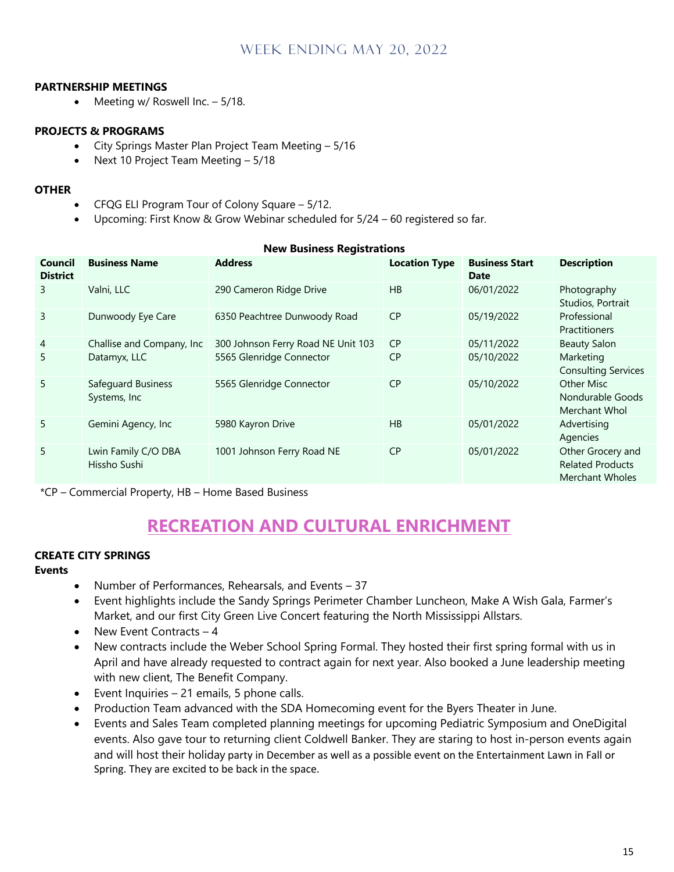#### **PARTNERSHIP MEETINGS**

• Meeting w/ Roswell Inc. – 5/18.

#### **PROJECTS & PROGRAMS**

- City Springs Master Plan Project Team Meeting 5/16
- Next 10 Project Team Meeting 5/18

#### **OTHER**

- CFQG ELI Program Tour of Colony Square 5/12.
- Upcoming: First Know & Grow Webinar scheduled for 5/24 60 registered so far.

| <b>Council</b><br><b>District</b> | <b>Business Name</b>                | <b>Address</b>                     | <b>Location Type</b> | <b>Business Start</b><br>Date | <b>Description</b>                                                     |
|-----------------------------------|-------------------------------------|------------------------------------|----------------------|-------------------------------|------------------------------------------------------------------------|
| 3                                 | Valni, LLC                          | 290 Cameron Ridge Drive            | HB                   | 06/01/2022                    | Photography<br>Studios, Portrait                                       |
| 3                                 | Dunwoody Eye Care                   | 6350 Peachtree Dunwoody Road       | <b>CP</b>            | 05/19/2022                    | Professional<br><b>Practitioners</b>                                   |
| $\overline{4}$                    | Challise and Company, Inc.          | 300 Johnson Ferry Road NE Unit 103 | <b>CP</b>            | 05/11/2022                    | <b>Beauty Salon</b>                                                    |
| 5                                 | Datamyx, LLC                        | 5565 Glenridge Connector           | <b>CP</b>            | 05/10/2022                    | Marketing<br><b>Consulting Services</b>                                |
| 5                                 | Safequard Business<br>Systems, Inc. | 5565 Glenridge Connector           | <b>CP</b>            | 05/10/2022                    | Other Misc<br>Nondurable Goods<br>Merchant Whol                        |
| 5                                 | Gemini Agency, Inc                  | 5980 Kayron Drive                  | HB                   | 05/01/2022                    | Advertising<br>Agencies                                                |
| 5                                 | Lwin Family C/O DBA<br>Hissho Sushi | 1001 Johnson Ferry Road NE         | <b>CP</b>            | 05/01/2022                    | Other Grocery and<br><b>Related Products</b><br><b>Merchant Wholes</b> |

#### **New Business Registrations**

\*CP – Commercial Property, HB – Home Based Business

# **RECREATION AND CULTURAL ENRICHMENT**

#### **CREATE CITY SPRINGS**

#### **Events**

- Number of Performances, Rehearsals, and Events 37
- Event highlights include the Sandy Springs Perimeter Chamber Luncheon, Make A Wish Gala, Farmer's Market, and our first City Green Live Concert featuring the North Mississippi Allstars.
- New Event Contracts  $-4$
- New contracts include the Weber School Spring Formal. They hosted their first spring formal with us in April and have already requested to contract again for next year. Also booked a June leadership meeting with new client, The Benefit Company.
- Event Inquiries 21 emails, 5 phone calls.
- Production Team advanced with the SDA Homecoming event for the Byers Theater in June.
- Events and Sales Team completed planning meetings for upcoming Pediatric Symposium and OneDigital events. Also gave tour to returning client Coldwell Banker. They are staring to host in-person events again and will host their holiday party in December as well as a possible event on the Entertainment Lawn in Fall or Spring. They are excited to be back in the space.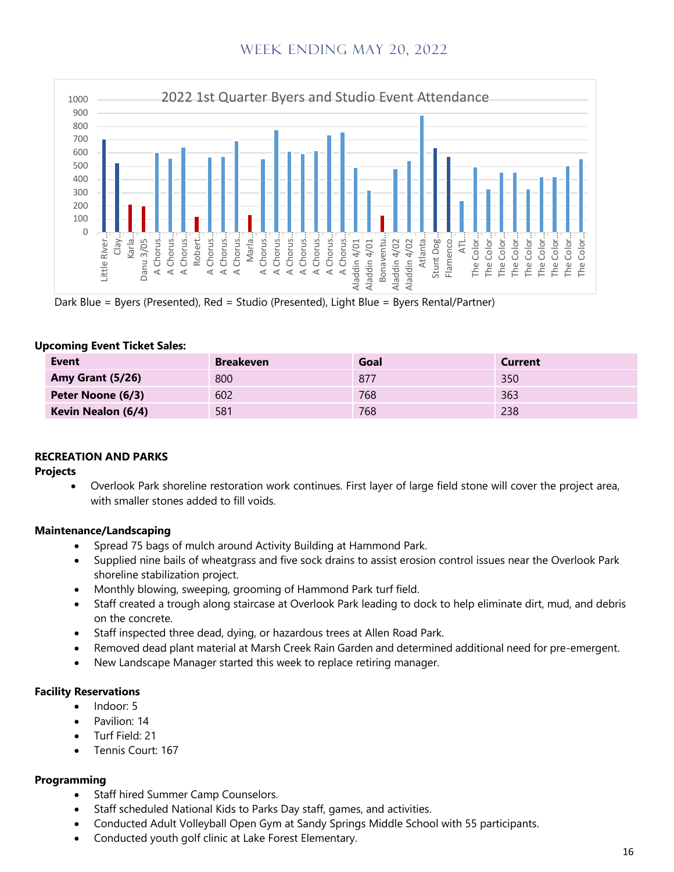

Dark Blue = Byers (Presented), Red = Studio (Presented), Light Blue = Byers Rental/Partner)

| Opcoming Event Ticket Sales. |                    |                  |      |                |  |
|------------------------------|--------------------|------------------|------|----------------|--|
|                              | <b>Event</b>       | <b>Breakeven</b> | Goal | <b>Current</b> |  |
|                              | Amy Grant (5/26)   | 800              | 877  | 350            |  |
|                              | Peter Noone (6/3)  | 602              | 768  | 363            |  |
|                              | Kevin Nealon (6/4) | 581              | 768  | 238            |  |

### **Upcoming Event Ticket Sales:**

#### **RECREATION AND PARKS**

#### **Projects**

• Overlook Park shoreline restoration work continues. First layer of large field stone will cover the project area, with smaller stones added to fill voids.

#### **Maintenance/Landscaping**

- Spread 75 bags of mulch around Activity Building at Hammond Park.
- Supplied nine bails of wheatgrass and five sock drains to assist erosion control issues near the Overlook Park shoreline stabilization project.
- Monthly blowing, sweeping, grooming of Hammond Park turf field.
- Staff created a trough along staircase at Overlook Park leading to dock to help eliminate dirt, mud, and debris on the concrete.
- Staff inspected three dead, dying, or hazardous trees at Allen Road Park.
- Removed dead plant material at Marsh Creek Rain Garden and determined additional need for pre-emergent.
- New Landscape Manager started this week to replace retiring manager.

#### **Facility Reservations**

- Indoor: 5
- Pavilion: 14
- Turf Field: 21
- Tennis Court: 167

#### **Programming**

- Staff hired Summer Camp Counselors.
- Staff scheduled National Kids to Parks Day staff, games, and activities.
- Conducted Adult Volleyball Open Gym at Sandy Springs Middle School with 55 participants.
- Conducted youth golf clinic at Lake Forest Elementary.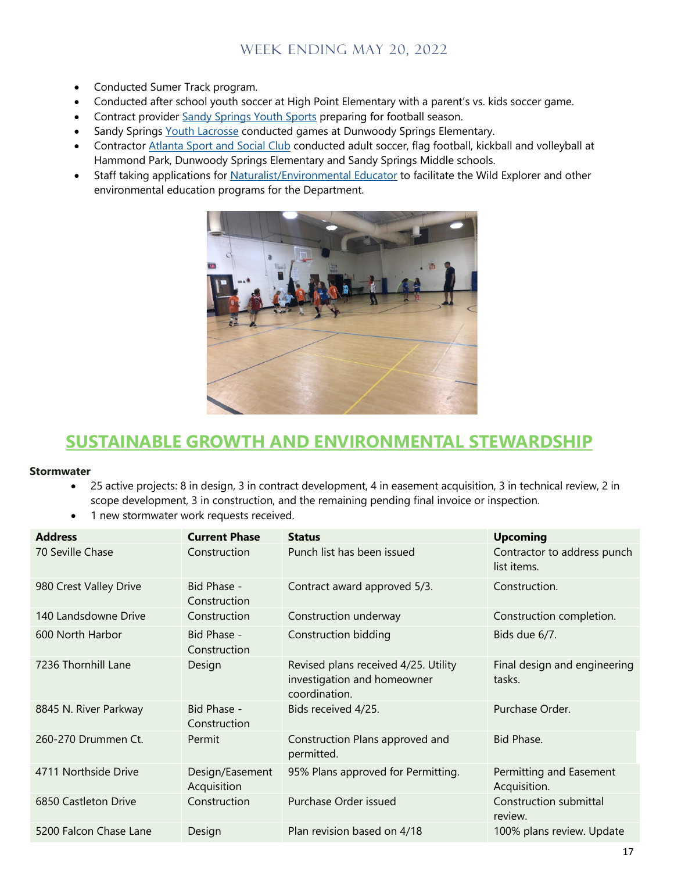- Conducted Sumer Track program.
- Conducted after school youth soccer at High Point Elementary with a parent's vs. kids soccer game.
- Contract provider Sandy Springs Youth Sports preparing for football season.
- Sandy Springs Youth Lacrosse conducted games at Dunwoody Springs Elementary.
- Contractor Atlanta Sport and Social Club conducted adult soccer, flag football, kickball and volleyball at Hammond Park, Dunwoody Springs Elementary and Sandy Springs Middle schools.
- Staff taking applications for Naturalist/Environmental Educator to facilitate the Wild Explorer and other environmental education programs for the Department.



# **SUSTAINABLE GROWTH AND ENVIRONMENTAL STEWARDSHIP**

#### **Stormwater**

- 25 active projects: 8 in design, 3 in contract development, 4 in easement acquisition, 3 in technical review, 2 in scope development, 3 in construction, and the remaining pending final invoice or inspection.
- 1 new stormwater work requests received.

| <b>Address</b>         | <b>Current Phase</b>           | <b>Status</b>                                                                        | <b>Upcoming</b>                            |
|------------------------|--------------------------------|--------------------------------------------------------------------------------------|--------------------------------------------|
| 70 Seville Chase       | Construction                   | Punch list has been issued                                                           | Contractor to address punch<br>list items. |
| 980 Crest Valley Drive | Bid Phase -<br>Construction    | Contract award approved 5/3.                                                         | Construction.                              |
| 140 Landsdowne Drive   | Construction                   | Construction underway                                                                | Construction completion.                   |
| 600 North Harbor       | Bid Phase -<br>Construction    | <b>Construction bidding</b>                                                          | Bids due 6/7.                              |
| 7236 Thornhill Lane    | Design                         | Revised plans received 4/25. Utility<br>investigation and homeowner<br>coordination. | Final design and engineering<br>tasks.     |
| 8845 N. River Parkway  | Bid Phase -<br>Construction    | Bids received 4/25.                                                                  | Purchase Order.                            |
| 260-270 Drummen Ct.    | Permit                         | Construction Plans approved and<br>permitted.                                        | Bid Phase.                                 |
| 4711 Northside Drive   | Design/Easement<br>Acquisition | 95% Plans approved for Permitting.                                                   | Permitting and Easement<br>Acquisition.    |
| 6850 Castleton Drive   | Construction                   | Purchase Order issued                                                                | Construction submittal<br>review.          |
| 5200 Falcon Chase Lane | Design                         | Plan revision based on 4/18                                                          | 100% plans review. Update                  |